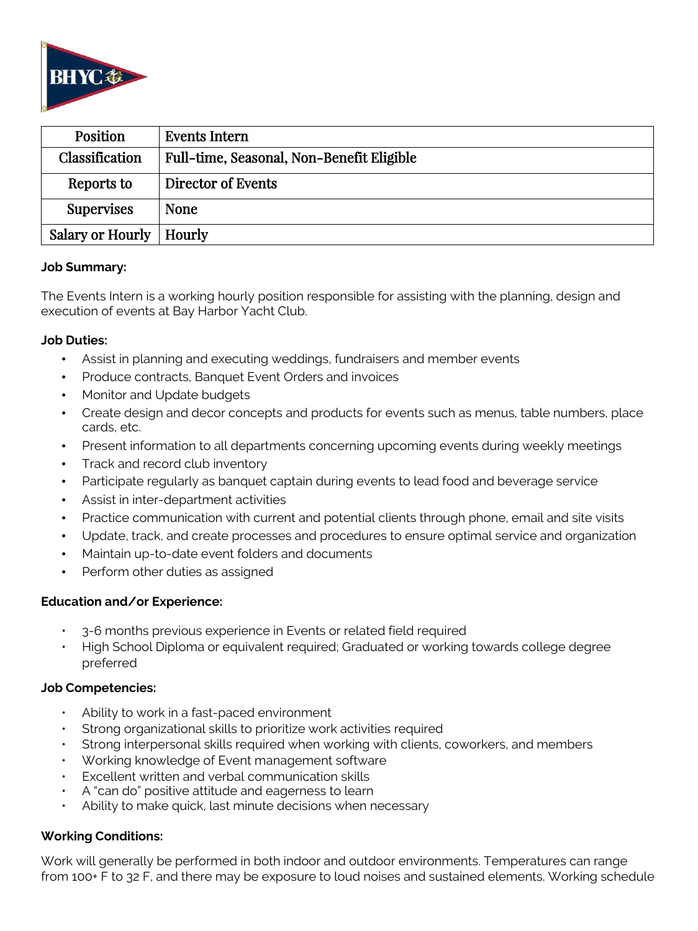

| Position          | Events Intern                             |
|-------------------|-------------------------------------------|
| Classification    | Full-time, Seasonal, Non-Benefit Eligible |
| Reports to        | Director of Events                        |
| <b>Supervises</b> | <b>None</b>                               |
| Salary or Hourly  | Hourly                                    |

## **Job Summary:**

The Events Intern is a working hourly position responsible for assisting with the planning, design and execution of events at Bay Harbor Yacht Club.

# **Job Duties:**

- Assist in planning and executing weddings, fundraisers and member events
- Produce contracts, Banquet Event Orders and invoices
- Monitor and Update budgets
- Create design and decor concepts and products for events such as menus, table numbers, place cards, etc.
- Present information to all departments concerning upcoming events during weekly meetings
- Track and record club inventory
- Participate regularly as banquet captain during events to lead food and beverage service
- Assist in inter-department activities
- Practice communication with current and potential clients through phone, email and site visits
- Update, track, and create processes and procedures to ensure optimal service and organization
- Maintain up-to-date event folders and documents
- Perform other duties as assigned

# **Education and/or Experience:**

- 3-6 months previous experience in Events or related field required
- High School Diploma or equivalent required; Graduated or working towards college degree preferred

# **Job Competencies:**

- Ability to work in a fast-paced environment
- Strong organizational skills to prioritize work activities required
- Strong interpersonal skills required when working with clients, coworkers, and members
- Working knowledge of Event management software
- Excellent written and verbal communication skills
- A "can do" positive attitude and eagerness to learn
- Ability to make quick, last minute decisions when necessary

# **Working Conditions:**

Work will generally be performed in both indoor and outdoor environments. Temperatures can range from 100+ F to 32 F, and there may be exposure to loud noises and sustained elements. Working schedule